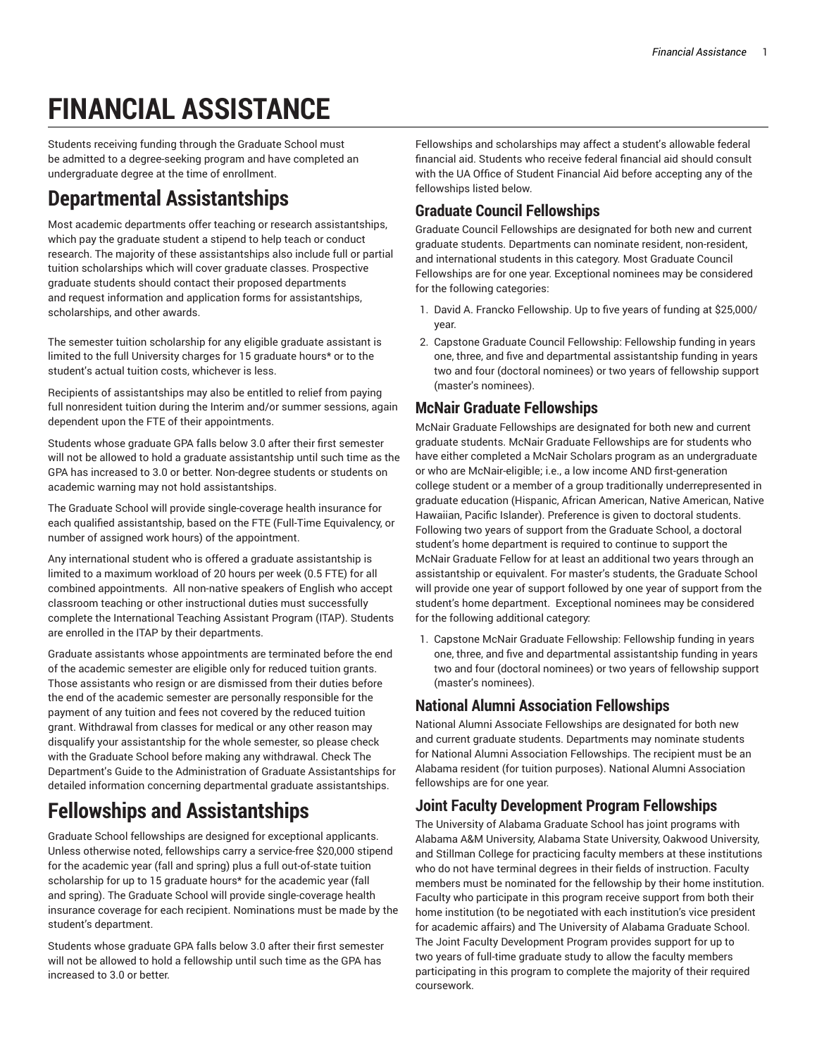# **FINANCIAL ASSISTANCE**

Students receiving funding through the Graduate School must be admitted to a degree-seeking program and have completed an undergraduate degree at the time of enrollment.

### **Departmental Assistantships**

Most academic departments offer teaching or research assistantships, which pay the graduate student a stipend to help teach or conduct research. The majority of these assistantships also include full or partial tuition scholarships which will cover graduate classes. Prospective graduate students should contact their proposed departments and request information and application forms for assistantships, scholarships, and other awards.

The semester tuition scholarship for any eligible graduate assistant is limited to the full University charges for 15 graduate hours\* or to the student's actual tuition costs, whichever is less.

Recipients of assistantships may also be entitled to relief from paying full nonresident tuition during the Interim and/or summer sessions, again dependent upon the FTE of their appointments.

Students whose graduate GPA falls below 3.0 after their first semester will not be allowed to hold a graduate assistantship until such time as the GPA has increased to 3.0 or better. Non-degree students or students on academic warning may not hold assistantships.

The [Graduate School](http://graduate.ua.edu/) will provide single-coverage health insurance for each qualified assistantship, based on the FTE (Full-Time Equivalency, or number of assigned work hours) of the appointment.

Any international student who is offered a graduate assistantship is limited to a maximum workload of 20 hours per week (0.5 FTE) for all combined appointments. All non-native speakers of English who accept classroom teaching or other instructional duties must successfully complete the [International](http://international.ua.edu/eli/itap/) Teaching Assistant Program (ITAP). Students are enrolled in the ITAP by their departments.

Graduate assistants whose appointments are terminated before the end of the academic semester are eligible only for reduced tuition grants. Those assistants who resign or are dismissed from their duties before the end of the academic semester are personally responsible for the payment of any tuition and fees not covered by the reduced tuition grant. Withdrawal from classes for medical or any other reason may disqualify your assistantship for the whole semester, so please check with the Graduate School before making any withdrawal. Check [The](http://services.graduate.ua.edu/publications/dept/) Department's Guide to the Administration of Graduate [Assistantships](http://services.graduate.ua.edu/publications/dept/) for detailed information concerning departmental graduate assistantships.

### **Fellowships and Assistantships**

Graduate School fellowships are designed for exceptional applicants. Unless otherwise noted, fellowships carry a service-free \$20,000 stipend for the academic year (fall and spring) plus a full out-of-state tuition scholarship for up to 15 graduate hours\* for the academic year (fall and spring). The Graduate School will provide single-coverage health insurance coverage for each recipient. Nominations must be made by the student's department.

Students whose graduate GPA falls below 3.0 after their first semester will not be allowed to hold a fellowship until such time as the GPA has increased to 3.0 or better.

Fellowships and scholarships may affect a student's allowable federal financial aid. Students who receive federal financial aid should consult with the UA Office of [Student Financial Aid](http://financialaid.ua.edu/) before accepting any of the fellowships listed below.

#### **Graduate Council Fellowships**

Graduate Council Fellowships are designated for both new and current graduate students. Departments can nominate resident, non-resident, and international students in this category. Most Graduate Council Fellowships are for one year. Exceptional nominees may be considered for the following categories:

- 1. David A. Francko Fellowship. Up to five years of funding at \$25,000/ year.
- 2. Capstone Graduate Council Fellowship: Fellowship funding in years one, three, and five and departmental assistantship funding in years two and four (doctoral nominees) or two years of fellowship support (master's nominees).

#### **McNair Graduate Fellowships**

McNair Graduate Fellowships are designated for both new and current graduate students. McNair Graduate Fellowships are for students who have either completed a McNair Scholars program as an undergraduate or who are McNair-eligible; i.e., a low income AND first-generation college student or a member of a group traditionally underrepresented in graduate education (Hispanic, African American, Native American, Native Hawaiian, Pacific Islander). Preference is given to doctoral students. Following two years of support from the Graduate School, a doctoral student's home department is required to continue to support the McNair Graduate Fellow for at least an additional two years through an assistantship or equivalent. For master's students, the Graduate School will provide one year of support followed by one year of support from the student's home department. Exceptional nominees may be considered for the following additional category:

1. Capstone McNair Graduate Fellowship: Fellowship funding in years one, three, and five and departmental assistantship funding in years two and four (doctoral nominees) or two years of fellowship support (master's nominees).

#### **National Alumni Association Fellowships**

National Alumni Associate Fellowships are designated for both new and current graduate students. Departments may nominate students for National Alumni Association Fellowships. The recipient must be an Alabama resident (for tuition purposes). National Alumni Association fellowships are for one year.

#### **Joint Faculty Development Program Fellowships**

The University of Alabama Graduate School has joint programs with Alabama A&M University, Alabama State University, Oakwood University, and Stillman College for practicing faculty members at these institutions who do not have terminal degrees in their fields of instruction. Faculty members must be nominated for the fellowship by their home institution. Faculty who participate in this program receive support from both their home institution (to be negotiated with each institution's vice president for academic affairs) and The University of Alabama Graduate School. The Joint Faculty Development Program provides support for up to two years of full-time graduate study to allow the faculty members participating in this program to complete the majority of their required coursework.